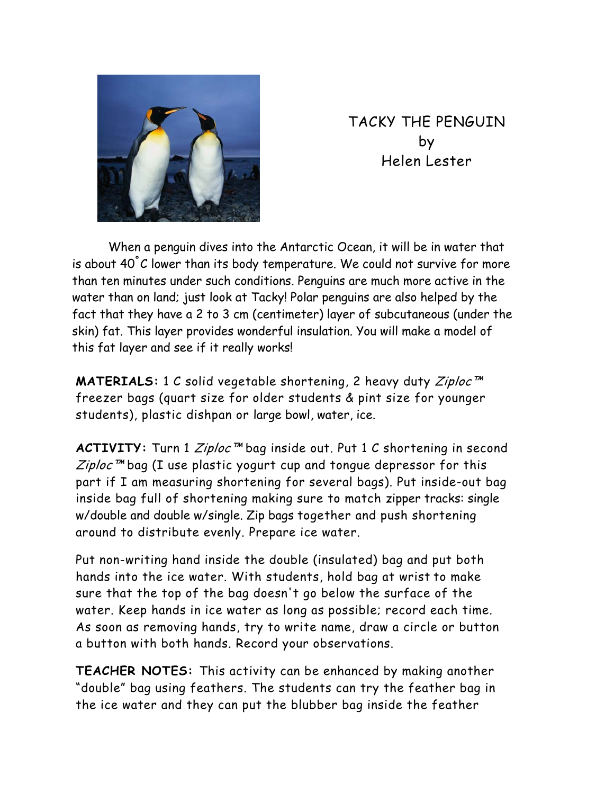

TACKY THE PENGUIN by Helen Lester

 When a penguin dives into the Antarctic Ocean, it will be in water that is about 40**°** C lower than its body temperature. We could not survive for more than ten minutes under such conditions. Penguins are much more active in the water than on land; just look at Tacky! Polar penguins are also helped by the fact that they have a 2 to 3 cm (centimeter) layer of subcutaneous (under the skin) fat. This layer provides wonderful insulation. You will make a model of this fat layer and see if it really works!

**MATERIALS:** 1 C solid vegetable shortening, 2 heavy duty Ziploc™ freezer bags (quart size for older students & pint size for younger students), plastic dishpan or large bowl, water, ice.

ACTIVITY: Turn 1 Ziploc<sup>™</sup> bag inside out. Put 1 C shortening in second  $Ziploc$ <sup>7</sup> bag (I use plastic yogurt cup and tongue depressor for this part if I am measuring shortening for several bags). Put inside-out bag inside bag full of shortening making sure to match zipper tracks: single w/double and double w/single. Zip bags together and push shortening around to distribute evenly. Prepare ice water.

Put non-writing hand inside the double (insulated) bag and put both hands into the ice water. With students, hold bag at wrist to make sure that the top of the bag doesn't go below the surface of the water. Keep hands in ice water as long as possible; record each time. As soon as removing hands, try to write name, draw a circle or button a button with both hands. Record your observations.

**TEACHER NOTES:** This activity can be enhanced by making another "double" bag using feathers. The students can try the feather bag in the ice water and they can put the blubber bag inside the feather